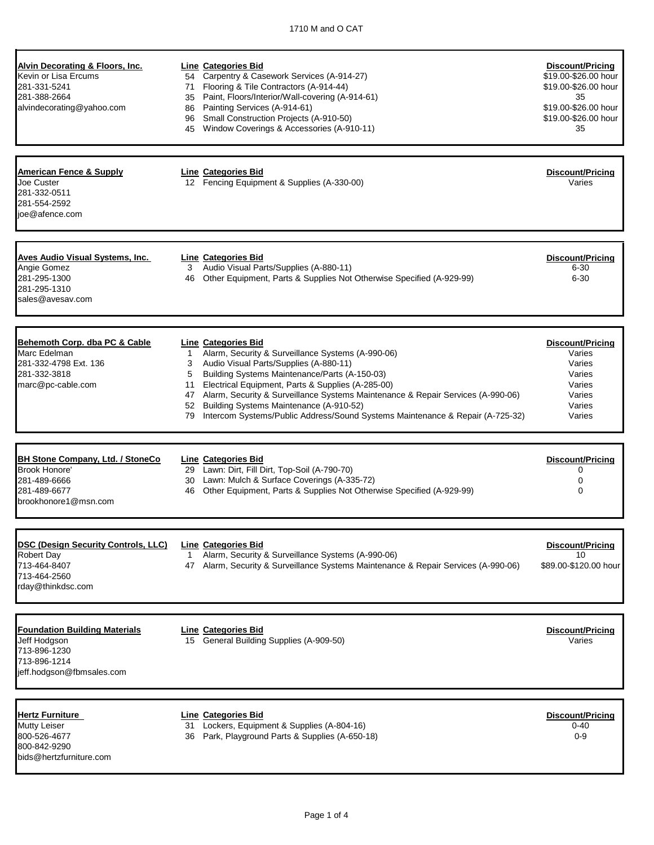| Alvin Decorating & Floors, Inc.<br>Kevin or Lisa Ercums<br>281-331-5241<br>281-388-2664<br>alvindecorating@yahoo.com | 71                            | <b>Line Categories Bid</b><br>54 Carpentry & Casework Services (A-914-27)<br>Flooring & Tile Contractors (A-914-44)<br>35 Paint, Floors/Interior/Wall-covering (A-914-61)<br>86 Painting Services (A-914-61)<br>96 Small Construction Projects (A-910-50)<br>45 Window Coverings & Accessories (A-910-11)                                                                                                                                  | Discount/Pricing<br>\$19.00-\$26.00 hour<br>\$19.00-\$26.00 hour<br>35<br>\$19.00-\$26.00 hour<br>\$19.00-\$26.00 hour<br>35 |
|----------------------------------------------------------------------------------------------------------------------|-------------------------------|--------------------------------------------------------------------------------------------------------------------------------------------------------------------------------------------------------------------------------------------------------------------------------------------------------------------------------------------------------------------------------------------------------------------------------------------|------------------------------------------------------------------------------------------------------------------------------|
| <b>American Fence &amp; Supply</b><br>Joe Custer<br>281-332-0511<br>281-554-2592<br>ioe@afence.com                   |                               | Line Categories Bid<br>12 Fencing Equipment & Supplies (A-330-00)                                                                                                                                                                                                                                                                                                                                                                          | Discount/Pricing<br>Varies                                                                                                   |
| Aves Audio Visual Systems, Inc.<br>Angie Gomez<br>281-295-1300<br>281-295-1310<br>sales@avesay.com                   | 3                             | Line Categories Bid<br>Audio Visual Parts/Supplies (A-880-11)<br>46 Other Equipment, Parts & Supplies Not Otherwise Specified (A-929-99)                                                                                                                                                                                                                                                                                                   | Discount/Pricing<br>$6 - 30$<br>$6 - 30$                                                                                     |
| Behemoth Corp. dba PC & Cable<br>Marc Edelman<br>281-332-4798 Ext. 136<br>281-332-3818<br>marc@pc-cable.com          | 1<br>3<br>5<br>11<br>52<br>79 | Line Categories Bid<br>Alarm, Security & Surveillance Systems (A-990-06)<br>Audio Visual Parts/Supplies (A-880-11)<br>Building Systems Maintenance/Parts (A-150-03)<br>Electrical Equipment, Parts & Supplies (A-285-00)<br>47 Alarm, Security & Surveillance Systems Maintenance & Repair Services (A-990-06)<br>Building Systems Maintenance (A-910-52)<br>Intercom Systems/Public Address/Sound Systems Maintenance & Repair (A-725-32) | Discount/Pricina<br>Varies<br>Varies<br>Varies<br>Varies<br>Varies<br>Varies<br>Varies                                       |
| <b>BH Stone Company, Ltd. / StoneCo</b><br>Brook Honore'<br>281-489-6666<br>281-489-6677<br>brookhonore1@msn.com     | 30<br>46                      | <b>Line Categories Bid</b><br>29 Lawn: Dirt, Fill Dirt, Top-Soil (A-790-70)<br>Lawn: Mulch & Surface Coverings (A-335-72)<br>Other Equipment, Parts & Supplies Not Otherwise Specified (A-929-99)                                                                                                                                                                                                                                          | <b>Discount/Pricing</b><br>0<br>0<br>$\Omega$                                                                                |
| <b>DSC (Design Security Controls, LLC)</b><br><b>Robert Day</b><br>713-464-8407<br>713-464-2560<br>rday@thinkdsc.com | $\mathbf{1}$                  | <b>Line Categories Bid</b><br>Alarm, Security & Surveillance Systems (A-990-06)<br>47 Alarm, Security & Surveillance Systems Maintenance & Repair Services (A-990-06)                                                                                                                                                                                                                                                                      | Discount/Pricing<br>10<br>\$89.00-\$120.00 hour                                                                              |
| <b>Foundation Building Materials</b><br>Jeff Hodgson<br>713-896-1230<br>713-896-1214<br>jeff.hodgson@fbmsales.com    |                               | <b>Line Categories Bid</b><br>15 General Building Supplies (A-909-50)                                                                                                                                                                                                                                                                                                                                                                      | Discount/Pricing<br>Varies                                                                                                   |
| <b>Hertz Furniture</b><br>Mutty Leiser<br>800-526-4677<br>800-842-9290<br>bids@hertzfurniture.com                    |                               | Line Categories Bid<br>31 Lockers, Equipment & Supplies (A-804-16)<br>36 Park, Playground Parts & Supplies (A-650-18)                                                                                                                                                                                                                                                                                                                      | Discount/Pricing<br>$0 - 40$<br>$0 - 9$                                                                                      |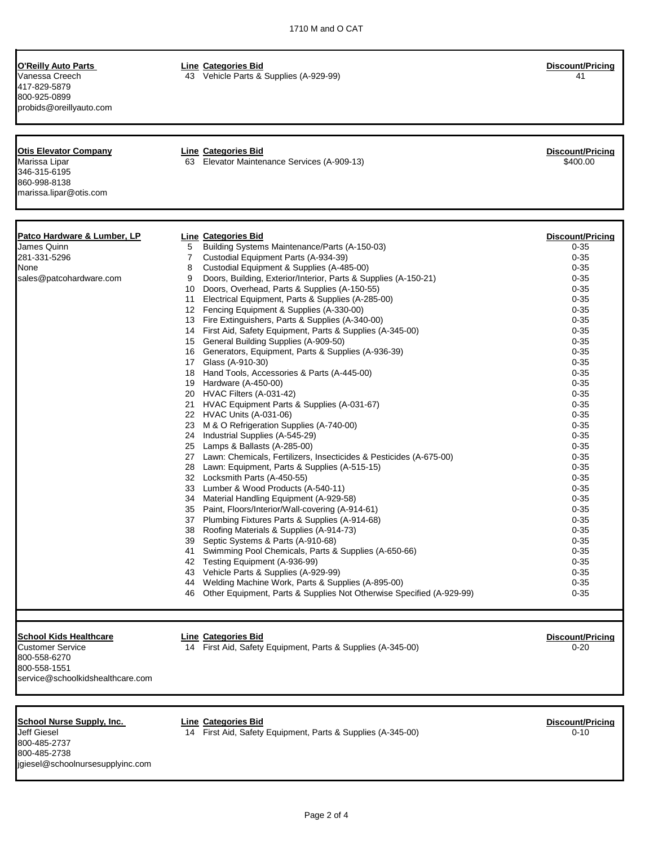417-829-5879 800-925-0899 probids@oreillyauto.com

**O'Reilly Auto Parts Line Categories Bid Discount/Pricing**

Vanessa Creech 43 Vehicle Parts & Supplies (A-929-99) 41

| <b>Otis Elevator Company</b>           |                | <b>Line Categories Bid</b>                                              | Discount/Pricing        |
|----------------------------------------|----------------|-------------------------------------------------------------------------|-------------------------|
| Marissa Lipar                          |                | 63 Elevator Maintenance Services (A-909-13)                             | \$400.00                |
| 346-315-6195                           |                |                                                                         |                         |
| 860-998-8138                           |                |                                                                         |                         |
| marissa.lipar@otis.com                 |                |                                                                         |                         |
|                                        |                |                                                                         |                         |
|                                        |                |                                                                         |                         |
| <u>Patco Hardware &amp; Lumber, LP</u> |                | <b>Line Categories Bid</b>                                              | <b>Discount/Pricing</b> |
| James Quinn                            | 5              | Building Systems Maintenance/Parts (A-150-03)                           | $0 - 35$                |
| 281-331-5296                           | $\overline{7}$ | Custodial Equipment Parts (A-934-39)                                    | $0 - 35$                |
| None                                   | 8              | Custodial Equipment & Supplies (A-485-00)                               | $0 - 35$                |
| sales@patcohardware.com                | 9              | Doors, Building, Exterior/Interior, Parts & Supplies (A-150-21)         | $0 - 35$                |
|                                        |                | 10 Doors, Overhead, Parts & Supplies (A-150-55)                         | $0 - 35$                |
|                                        |                | 11 Electrical Equipment, Parts & Supplies (A-285-00)                    | $0 - 35$                |
|                                        |                | 12 Fencing Equipment & Supplies (A-330-00)                              | $0 - 35$                |
|                                        |                | 13 Fire Extinguishers, Parts & Supplies (A-340-00)                      | $0 - 35$                |
|                                        |                | 14 First Aid, Safety Equipment, Parts & Supplies (A-345-00)             | $0 - 35$                |
|                                        |                | 15 General Building Supplies (A-909-50)                                 | $0 - 35$                |
|                                        |                | 16 Generators, Equipment, Parts & Supplies (A-936-39)                   | $0 - 35$                |
|                                        |                | 17 Glass (A-910-30)                                                     | $0 - 35$                |
|                                        |                | 18 Hand Tools, Accessories & Parts (A-445-00)                           | $0 - 35$                |
|                                        |                | 19 Hardware (A-450-00)                                                  | $0 - 35$                |
|                                        |                | 20 HVAC Filters (A-031-42)                                              | $0 - 35$                |
|                                        |                | 21 HVAC Equipment Parts & Supplies (A-031-67)                           | $0 - 35$                |
|                                        |                | 22 HVAC Units (A-031-06)                                                | $0 - 35$                |
|                                        |                | 23 M & O Refrigeration Supplies (A-740-00)                              | $0 - 35$                |
|                                        |                | 24 Industrial Supplies (A-545-29)                                       | $0 - 35$                |
|                                        |                | 25 Lamps & Ballasts (A-285-00)                                          | $0 - 35$                |
|                                        |                | 27 Lawn: Chemicals, Fertilizers, Insecticides & Pesticides (A-675-00)   | $0 - 35$                |
|                                        |                | 28 Lawn: Equipment, Parts & Supplies (A-515-15)                         | $0 - 35$                |
|                                        |                | 32 Locksmith Parts (A-450-55)                                           | $0 - 35$                |
|                                        |                | 33 Lumber & Wood Products (A-540-11)                                    | $0 - 35$                |
|                                        |                | 34 Material Handling Equipment (A-929-58)                               | $0 - 35$                |
|                                        |                | 35 Paint, Floors/Interior/Wall-covering (A-914-61)                      | $0 - 35$                |
|                                        |                | 37 Plumbing Fixtures Parts & Supplies (A-914-68)                        | $0 - 35$                |
|                                        |                | 38 Roofing Materials & Supplies (A-914-73)                              | $0 - 35$                |
|                                        |                | 39 Septic Systems & Parts (A-910-68)                                    | $0 - 35$                |
|                                        |                | 41 Swimming Pool Chemicals, Parts & Supplies (A-650-66)                 | $0 - 35$                |
|                                        |                | 42 Testing Equipment (A-936-99)                                         | $0 - 35$                |
|                                        |                | 43 Vehicle Parts & Supplies (A-929-99)                                  | $0 - 35$                |
|                                        |                | 44 Welding Machine Work, Parts & Supplies (A-895-00)                    | $0 - 35$                |
|                                        |                | 46 Other Equipment, Parts & Supplies Not Otherwise Specified (A-929-99) | $0 - 35$                |
|                                        |                |                                                                         |                         |
|                                        |                |                                                                         |                         |
| <b>School Kids Healthcare</b>          |                | <b>Line Categories Bid</b>                                              | <b>Discount/Pricing</b> |
| <b>Customer Service</b>                |                | 14 First Aid, Safety Equipment, Parts & Supplies (A-345-00)             | $0 - 20$                |
| 800-558-6270                           |                |                                                                         |                         |
| 800-558-1551                           |                |                                                                         |                         |
| service@schoolkidshealthcare.com       |                |                                                                         |                         |

# **School Nurse Supply, Inc. Line Categories Bid Discount/Pricing**

800-485-2737 800-485-2738 jgiesel@schoolnursesupplyinc.com

Jeff Giesel 14 First Aid, Safety Equipment, Parts & Supplies (A-345-00) 0-10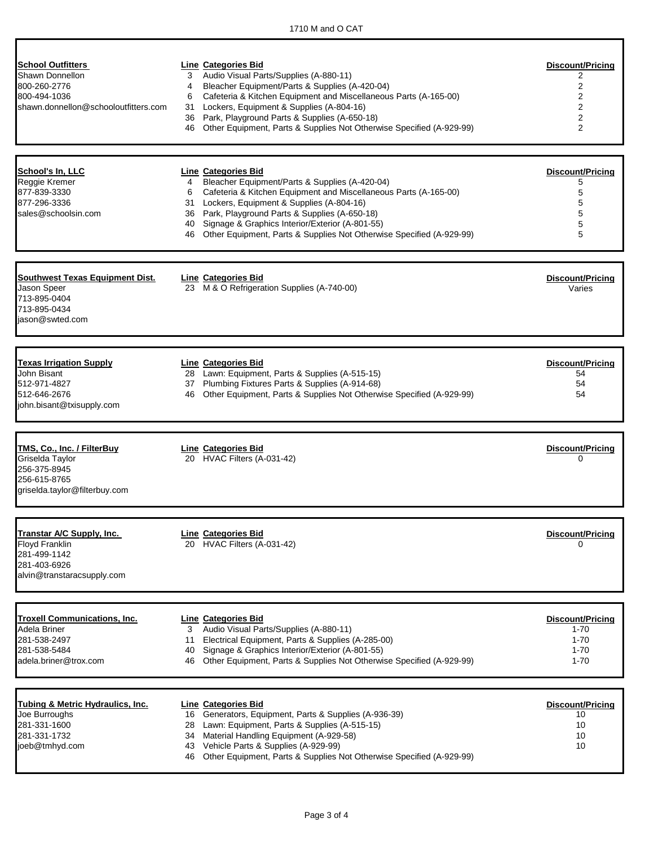Г

| <b>School Outfitters</b><br>Shawn Donnellon<br>800-260-2776<br>800-494-1036<br>shawn.donnellon@schooloutfitters.com | Line Categories Bid<br>Audio Visual Parts/Supplies (A-880-11)<br>3<br>Bleacher Equipment/Parts & Supplies (A-420-04)<br>4<br>Cafeteria & Kitchen Equipment and Miscellaneous Parts (A-165-00)<br>6<br>31 Lockers, Equipment & Supplies (A-804-16)<br>36 Park, Playground Parts & Supplies (A-650-18)<br>Other Equipment, Parts & Supplies Not Otherwise Specified (A-929-99)<br>46                         | Discount/Pricina<br>2<br>2<br>$\overline{2}$<br>$\overline{2}$<br>$\overline{2}$<br>2 |
|---------------------------------------------------------------------------------------------------------------------|------------------------------------------------------------------------------------------------------------------------------------------------------------------------------------------------------------------------------------------------------------------------------------------------------------------------------------------------------------------------------------------------------------|---------------------------------------------------------------------------------------|
| School's In, LLC<br>Reggie Kremer<br>877-839-3330<br>877-296-3336<br>sales@schoolsin.com                            | <b>Line Categories Bid</b><br>Bleacher Equipment/Parts & Supplies (A-420-04)<br>$\overline{4}$<br>Cafeteria & Kitchen Equipment and Miscellaneous Parts (A-165-00)<br>6<br>31 Lockers, Equipment & Supplies (A-804-16)<br>36 Park, Playground Parts & Supplies (A-650-18)<br>40 Signage & Graphics Interior/Exterior (A-801-55)<br>46 Other Equipment, Parts & Supplies Not Otherwise Specified (A-929-99) | Discount/Pricing<br>5<br>5<br>5<br>5<br>5<br>5                                        |
| <b>Southwest Texas Equipment Dist.</b><br>Jason Speer<br>713-895-0404<br>713-895-0434<br>jason@swted.com            | <b>Line Categories Bid</b><br>23 M & O Refrigeration Supplies (A-740-00)                                                                                                                                                                                                                                                                                                                                   | Discount/Pricing<br>Varies                                                            |
| <b>Texas Irrigation Supply</b><br>John Bisant<br>512-971-4827<br>512-646-2676<br>john.bisant@txisupply.com          | Line Categories Bid<br>28 Lawn: Equipment, Parts & Supplies (A-515-15)<br>37 Plumbing Fixtures Parts & Supplies (A-914-68)<br>46 Other Equipment, Parts & Supplies Not Otherwise Specified (A-929-99)                                                                                                                                                                                                      | Discount/Pricing<br>54<br>54<br>54                                                    |
| TMS, Co., Inc. / FilterBuy<br>Griselda Taylor<br>256-375-8945<br>256-615-8765<br>griselda.taylor@filterbuy.com      | Line Categories Bid<br>20 HVAC Filters (A-031-42)                                                                                                                                                                                                                                                                                                                                                          | Discount/Pricing<br>0                                                                 |
| Transtar A/C Supply, Inc.<br><b>Floyd Franklin</b><br>281-499-1142<br>281-403-6926<br>alvin@transtaracsupply.com    | <b>Line Categories Bid</b><br>20 HVAC Filters (A-031-42)                                                                                                                                                                                                                                                                                                                                                   | Discount/Pricing                                                                      |
| <b>Troxell Communications, Inc.</b><br>Adela Briner<br>281-538-2497<br>281-538-5484<br>adela.briner@trox.com        | Line Categories Bid<br>Audio Visual Parts/Supplies (A-880-11)<br>3<br>Electrical Equipment, Parts & Supplies (A-285-00)<br>11<br>40 Signage & Graphics Interior/Exterior (A-801-55)<br>Other Equipment, Parts & Supplies Not Otherwise Specified (A-929-99)<br>46                                                                                                                                          | Discount/Pricing<br>$1 - 70$<br>$1 - 70$<br>$1 - 70$<br>$1 - 70$                      |
| Tubing & Metric Hydraulics, Inc.<br>Joe Burroughs<br>281-331-1600<br>281-331-1732<br>joeb@tmhyd.com                 | <b>Line Categories Bid</b><br>16 Generators, Equipment, Parts & Supplies (A-936-39)<br>28 Lawn: Equipment, Parts & Supplies (A-515-15)<br>34 Material Handling Equipment (A-929-58)<br>43 Vehicle Parts & Supplies (A-929-99)<br>46 Other Equipment, Parts & Supplies Not Otherwise Specified (A-929-99)                                                                                                   | Discount/Pricing<br>10<br>10<br>10<br>10                                              |